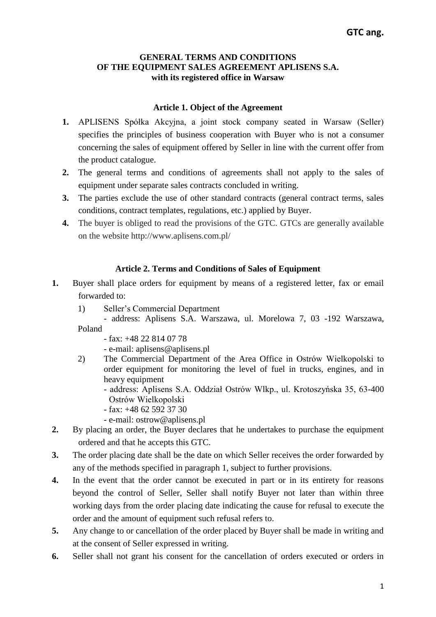## **GENERAL TERMS AND CONDITIONS OF THE EQUIPMENT SALES AGREEMENT APLISENS S.A. with its registered office in Warsaw**

## **Article 1. Object of the Agreement**

- **1.** APLISENS Spółka Akcyjna, a joint stock company seated in Warsaw (Seller) specifies the principles of business cooperation with Buyer who is not a consumer concerning the sales of equipment offered by Seller in line with the current offer from the product catalogue.
- **2.** The general terms and conditions of agreements shall not apply to the sales of equipment under separate sales contracts concluded in writing.
- **3.** The parties exclude the use of other standard contracts (general contract terms, sales conditions, contract templates, regulations, etc.) applied by Buyer.
- **4.** The buyer is obliged to read the provisions of the GTC. GTCs are generally available on the website http://www.aplisens.com.pl/

# **Article 2. Terms and Conditions of Sales of Equipment**

- **1.** Buyer shall place orders for equipment by means of a registered letter, fax or email forwarded to:
	- 1) Seller's Commercial Department
	- address: Aplisens S.A. Warszawa, ul. Morelowa 7, 03 -192 Warszawa, Poland
		- fax: +48 22 814 07 78
		- e-mail: [aplisens@aplisens.pl](mailto:aplisens@aplisens.pl)
	- 2) The Commercial Department of the Area Office in Ostrów Wielkopolski to order equipment for monitoring the level of fuel in trucks, engines, and in heavy equipment
		- address: Aplisens S.A. Oddział Ostrów Wlkp., ul. Krotoszyńska 35, 63-400 Ostrów Wielkopolski
		- fax: +48 62 592 37 30
		- e-mail: ostrow@aplisens.pl
- **2.** By placing an order, the Buyer declares that he undertakes to purchase the equipment ordered and that he accepts this GTC.
- **3.** The order placing date shall be the date on which Seller receives the order forwarded by any of the methods specified in paragraph 1, subject to further provisions.
- **4.** In the event that the order cannot be executed in part or in its entirety for reasons beyond the control of Seller, Seller shall notify Buyer not later than within three working days from the order placing date indicating the cause for refusal to execute the order and the amount of equipment such refusal refers to.
- **5.** Any change to or cancellation of the order placed by Buyer shall be made in writing and at the consent of Seller expressed in writing.
- **6.** Seller shall not grant his consent for the cancellation of orders executed or orders in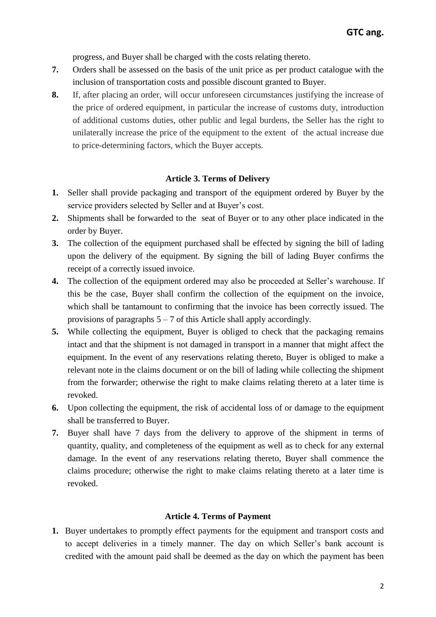progress, and Buyer shall be charged with the costs relating thereto.

- **7.** Orders shall be assessed on the basis of the unit price as per product catalogue with the inclusion of transportation costs and possible discount granted to Buyer.
- **8.** If, after placing an order, will occur unforeseen circumstances justifying the increase of the price of ordered equipment, in particular the increase of customs duty, introduction of additional customs duties, other public and legal burdens, the Seller has the right to unilaterally increase the price of the equipment to the extent of the actual increase due to price-determining factors, which the Buyer accepts.

#### **Article 3. Terms of Delivery**

- **1.** Seller shall provide packaging and transport of the equipment ordered by Buyer by the service providers selected by Seller and at Buyer's cost.
- **2.** Shipments shall be forwarded to the seat of Buyer or to any other place indicated in the order by Buyer.
- **3.** The collection of the equipment purchased shall be effected by signing the bill of lading upon the delivery of the equipment. By signing the bill of lading Buyer confirms the receipt of a correctly issued invoice.
- **4.** The collection of the equipment ordered may also be proceeded at Seller's warehouse. If this be the case, Buyer shall confirm the collection of the equipment on the invoice, which shall be tantamount to confirming that the invoice has been correctly issued. The provisions of paragraphs  $5 - 7$  of this Article shall apply accordingly.
- **5.** While collecting the equipment, Buyer is obliged to check that the packaging remains intact and that the shipment is not damaged in transport in a manner that might affect the equipment. In the event of any reservations relating thereto, Buyer is obliged to make a relevant note in the claims document or on the bill of lading while collecting the shipment from the forwarder; otherwise the right to make claims relating thereto at a later time is revoked.
- **6.** Upon collecting the equipment, the risk of accidental loss of or damage to the equipment shall be transferred to Buyer.
- **7.** Buyer shall have 7 days from the delivery to approve of the shipment in terms of quantity, quality, and completeness of the equipment as well as to check for any external damage. In the event of any reservations relating thereto, Buyer shall commence the claims procedure; otherwise the right to make claims relating thereto at a later time is revoked.

#### **Article 4. Terms of Payment**

**1.** Buyer undertakes to promptly effect payments for the equipment and transport costs and to accept deliveries in a timely manner. The day on which Seller's bank account is credited with the amount paid shall be deemed as the day on which the payment has been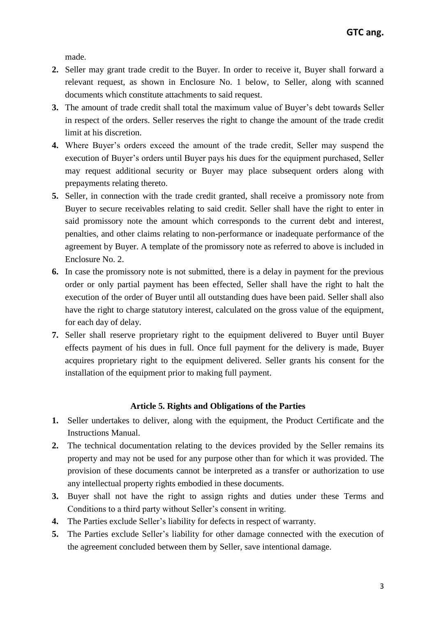made.

- **2.** Seller may grant trade credit to the Buyer. In order to receive it, Buyer shall forward a relevant request, as shown in Enclosure No. 1 below, to Seller, along with scanned documents which constitute attachments to said request.
- **3.** The amount of trade credit shall total the maximum value of Buyer's debt towards Seller in respect of the orders. Seller reserves the right to change the amount of the trade credit limit at his discretion.
- **4.** Where Buyer's orders exceed the amount of the trade credit, Seller may suspend the execution of Buyer's orders until Buyer pays his dues for the equipment purchased, Seller may request additional security or Buyer may place subsequent orders along with prepayments relating thereto.
- **5.** Seller, in connection with the trade credit granted, shall receive a promissory note from Buyer to secure receivables relating to said credit. Seller shall have the right to enter in said promissory note the amount which corresponds to the current debt and interest, penalties, and other claims relating to non-performance or inadequate performance of the agreement by Buyer. A template of the promissory note as referred to above is included in Enclosure No. 2.
- **6.** In case the promissory note is not submitted, there is a delay in payment for the previous order or only partial payment has been effected, Seller shall have the right to halt the execution of the order of Buyer until all outstanding dues have been paid. Seller shall also have the right to charge statutory interest, calculated on the gross value of the equipment, for each day of delay.
- **7.** Seller shall reserve proprietary right to the equipment delivered to Buyer until Buyer effects payment of his dues in full. Once full payment for the delivery is made, Buyer acquires proprietary right to the equipment delivered. Seller grants his consent for the installation of the equipment prior to making full payment.

#### **Article 5. Rights and Obligations of the Parties**

- **1.** Seller undertakes to deliver, along with the equipment, the Product Certificate and the Instructions Manual.
- **2.** The technical documentation relating to the devices provided by the Seller remains its property and may not be used for any purpose other than for which it was provided. The provision of these documents cannot be interpreted as a transfer or authorization to use any intellectual property rights embodied in these documents.
- **3.** Buyer shall not have the right to assign rights and duties under these Terms and Conditions to a third party without Seller's consent in writing.
- **4.** The Parties exclude Seller's liability for defects in respect of warranty.
- **5.** The Parties exclude Seller's liability for other damage connected with the execution of the agreement concluded between them by Seller, save intentional damage.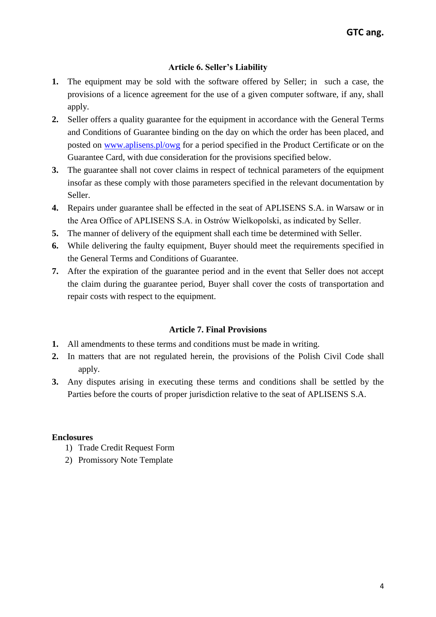## **Article 6. Seller's Liability**

- **1.** The equipment may be sold with the software offered by Seller; in such a case, the provisions of a licence agreement for the use of a given computer software, if any, shall apply.
- **2.** Seller offers a quality guarantee for the equipment in accordance with the General Terms and Conditions of Guarantee binding on the day on which the order has been placed, and posted on [www.aplisens.pl/owg](http://www.aplisens.pl/owg) for a period specified in the Product Certificate or on the Guarantee Card, with due consideration for the provisions specified below.
- **3.** The guarantee shall not cover claims in respect of technical parameters of the equipment insofar as these comply with those parameters specified in the relevant documentation by Seller.
- **4.** Repairs under guarantee shall be effected in the seat of APLISENS S.A. in Warsaw or in the Area Office of APLISENS S.A. in Ostrów Wielkopolski, as indicated by Seller.
- **5.** The manner of delivery of the equipment shall each time be determined with Seller.
- **6.** While delivering the faulty equipment, Buyer should meet the requirements specified in the General Terms and Conditions of Guarantee.
- **7.** After the expiration of the guarantee period and in the event that Seller does not accept the claim during the guarantee period, Buyer shall cover the costs of transportation and repair costs with respect to the equipment.

## **Article 7. Final Provisions**

- **1.** All amendments to these terms and conditions must be made in writing.
- **2.** In matters that are not regulated herein, the provisions of the Polish Civil Code shall apply.
- **3.** Any disputes arising in executing these terms and conditions shall be settled by the Parties before the courts of proper jurisdiction relative to the seat of APLISENS S.A.

## **Enclosures**

- 1) Trade Credit Request Form
- 2) Promissory Note Template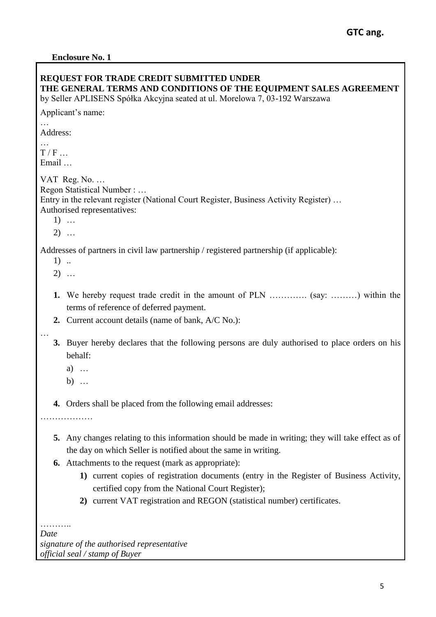| <b>REQUEST FOR TRADE CREDIT SUBMITTED UNDER</b><br>THE GENERAL TERMS AND CONDITIONS OF THE EQUIPMENT SALES AGREEMENT<br>by Seller APLISENS Spółka Akcyjna seated at ul. Morelowa 7, 03-192 Warszawa                                                                                                                                                                                                                                                                 |
|---------------------------------------------------------------------------------------------------------------------------------------------------------------------------------------------------------------------------------------------------------------------------------------------------------------------------------------------------------------------------------------------------------------------------------------------------------------------|
| Applicant's name:                                                                                                                                                                                                                                                                                                                                                                                                                                                   |
| Address:                                                                                                                                                                                                                                                                                                                                                                                                                                                            |
| T/F<br>Email                                                                                                                                                                                                                                                                                                                                                                                                                                                        |
| VAT Reg. No.<br>Regon Statistical Number :<br>Entry in the relevant register (National Court Register, Business Activity Register)<br>Authorised representatives:<br>$1)$<br>$2)$                                                                                                                                                                                                                                                                                   |
| Addresses of partners in civil law partnership / registered partnership (if applicable):<br>$1)$<br>$2)$                                                                                                                                                                                                                                                                                                                                                            |
| We hereby request trade credit in the amount of PLN  (say: ) within the<br>1.<br>terms of reference of deferred payment.<br>Current account details (name of bank, A/C No.):<br>2.                                                                                                                                                                                                                                                                                  |
| Buyer hereby declares that the following persons are duly authorised to place orders on his<br>3.<br>behalf:<br>a) $\dots$<br>b) $\ldots$                                                                                                                                                                                                                                                                                                                           |
| <b>4.</b> Orders shall be placed from the following email addresses:<br>.                                                                                                                                                                                                                                                                                                                                                                                           |
| Any changes relating to this information should be made in writing; they will take effect as of<br>5.<br>the day on which Seller is notified about the same in writing.<br><b>6.</b> Attachments to the request (mark as appropriate):<br>1) current copies of registration documents (entry in the Register of Business Activity,<br>certified copy from the National Court Register);<br>2) current VAT registration and REGON (statistical number) certificates. |
| Date<br>signature of the authorised representative<br>official seal / stamp of Buyer                                                                                                                                                                                                                                                                                                                                                                                |

*official seal / stamp of Buyer*